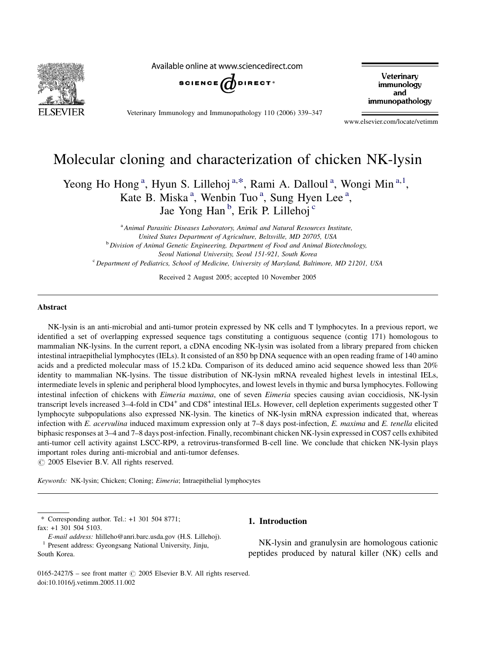

Available online at www.sciencedirect.com



Veterinary Immunology and Immunopathology 110 (2006) 339–347

Veterinary immunology and immunopathology

www.elsevier.com/locate/vetimm

# Molecular cloning and characterization of chicken NK-lysin

Yeong Ho Hong<sup>a</sup>, Hyun S. Lillehoj<sup>a,\*</sup>, Rami A. Dalloul<sup>a</sup>, Wongi Min<sup>a,1</sup>, Kate B. Miska<sup>a</sup>, Wenbin Tuo<sup>a</sup>, Sung Hyen Lee<sup>a</sup>, Jae Yong Han<sup>b</sup>, Erik P. Lillehoj<sup>c</sup>

<sup>a</sup> Animal Parasitic Diseases Laboratory, Animal and Natural Resources Institute, United States Department of Agriculture, Beltsville, MD 20705, USA  $<sup>b</sup> Division of Animal Genetic Engineering, Department of Food and Animal Biotechnology,$ </sup> Seoul National University, Seoul 151-921, South Korea <sup>c</sup> Department of Pediatrics, School of Medicine, University of Maryland, Baltimore, MD 21201, USA

Received 2 August 2005; accepted 10 November 2005

#### Abstract

NK-lysin is an anti-microbial and anti-tumor protein expressed by NK cells and T lymphocytes. In a previous report, we identified a set of overlapping expressed sequence tags constituting a contiguous sequence (contig 171) homologous to mammalian NK-lysins. In the current report, a cDNA encoding NK-lysin was isolated from a library prepared from chicken intestinal intraepithelial lymphocytes (IELs). It consisted of an 850 bp DNA sequence with an open reading frame of 140 amino acids and a predicted molecular mass of 15.2 kDa. Comparison of its deduced amino acid sequence showed less than 20% identity to mammalian NK-lysins. The tissue distribution of NK-lysin mRNA revealed highest levels in intestinal IELs, intermediate levels in splenic and peripheral blood lymphocytes, and lowest levels in thymic and bursa lymphocytes. Following intestinal infection of chickens with *Eimeria maxima*, one of seven *Eimeria* species causing avian coccidiosis, NK-lysin transcript levels increased 3–4-fold in CD4<sup>+</sup> and CD8<sup>+</sup> intestinal IELs. However, cell depletion experiments suggested other T lymphocyte subpopulations also expressed NK-lysin. The kinetics of NK-lysin mRNA expression indicated that, whereas infection with E. acervulina induced maximum expression only at  $7-8$  days post-infection, E. maxima and E. tenella elicited biphasic responses at 3–4 and 7–8 days post-infection. Finally, recombinant chicken NK-lysin expressed in COS7 cells exhibited anti-tumor cell activity against LSCC-RP9, a retrovirus-transformed B-cell line. We conclude that chicken NK-lysin plays important roles during anti-microbial and anti-tumor defenses.

 $\circ$  2005 Elsevier B.V. All rights reserved.

Keywords: NK-lysin; Chicken; Cloning; Eimeria; Intraepithelial lymphocytes

\* Corresponding author. Tel.: +1 301 504 8771; fax: +1 301 504 5103.

E-mail address: hlilleho@anri.barc.usda.gov (H.S. Lillehoj).<br><sup>1</sup> Present address: Gyeongsang National University, Jinju, South Korea.

# 1. Introduction

NK-lysin and granulysin are homologous cationic peptides produced by natural killer (NK) cells and

<sup>0165-2427/\$ –</sup> see front matter  $\odot$  2005 Elsevier B.V. All rights reserved. doi:10.1016/j.vetimm.2005.11.002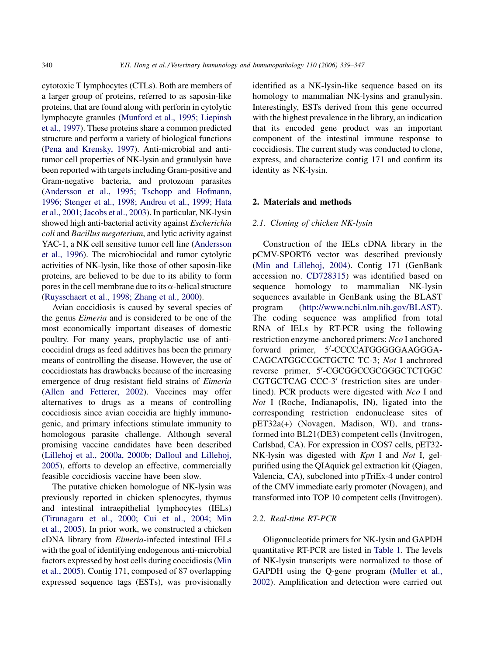cytotoxic T lymphocytes (CTLs). Both are members of a larger group of proteins, referred to as saposin-like proteins, that are found along with perforin in cytolytic lymphocyte granules [\(Munford et al., 1995; Liepinsh](#page-8-0) [et al., 1997\)](#page-8-0). These proteins share a common predicted structure and perform a variety of biological functions ([Pena and Krensky, 1997](#page-8-0)). Anti-microbial and antitumor cell properties of NK-lysin and granulysin have been reported with targets including Gram-positive and Gram-negative bacteria, and protozoan parasites ([Andersson et al., 1995; Tschopp and Hofmann,](#page-7-0) [1996; Stenger et al., 1998; Andreu et al., 1999; Hata](#page-7-0) [et al., 2001; Jacobs et al., 2003](#page-7-0)). In particular, NK-lysin showed high anti-bacterial activity against Escherichia coli and Bacillus megaterium, and lytic activity against YAC-1, a NK cell sensitive tumor cell line [\(Andersson](#page-7-0) [et al., 1996](#page-7-0)). The microbiocidal and tumor cytolytic activities of NK-lysin, like those of other saposin-like proteins, are believed to be due to its ability to form pores in the cell membrane due to its  $\alpha$ -helical structure ([Ruysschaert et al., 1998; Zhang et al., 2000\)](#page-8-0).

Avian coccidiosis is caused by several species of the genus Eimeria and is considered to be one of the most economically important diseases of domestic poultry. For many years, prophylactic use of anticoccidial drugs as feed additives has been the primary means of controlling the disease. However, the use of coccidiostats has drawbacks because of the increasing emergence of drug resistant field strains of Eimeria ([Allen and Fetterer, 2002\)](#page-7-0). Vaccines may offer alternatives to drugs as a means of controlling coccidiosis since avian coccidia are highly immunogenic, and primary infections stimulate immunity to homologous parasite challenge. Although several promising vaccine candidates have been described ([Lillehoj et al., 2000a, 2000b; Dalloul and Lillehoj,](#page-8-0) [2005](#page-8-0)), efforts to develop an effective, commercially feasible coccidiosis vaccine have been slow.

The putative chicken homologue of NK-lysin was previously reported in chicken splenocytes, thymus and intestinal intraepithelial lymphocytes (IELs) ([Tirunagaru et al., 2000; Cui et al., 2004; Min](#page-8-0) [et al., 2005\)](#page-8-0). In prior work, we constructed a chicken cDNA library from Eimeria-infected intestinal IELs with the goal of identifying endogenous anti-microbial factors expressed by host cells during coccidiosis ([Min](#page-8-0) [et al., 2005\)](#page-8-0). Contig 171, composed of 87 overlapping expressed sequence tags (ESTs), was provisionally identified as a NK-lysin-like sequence based on its homology to mammalian NK-lysins and granulysin. Interestingly, ESTs derived from this gene occurred with the highest prevalence in the library, an indication that its encoded gene product was an important component of the intestinal immune response to coccidiosis. The current study was conducted to clone, express, and characterize contig 171 and confirm its identity as NK-lysin.

## 2. Materials and methods

# 2.1. Cloning of chicken NK-lysin

Construction of the IELs cDNA library in the pCMV-SPORT6 vector was described previously ([Min and Lillehoj, 2004](#page-8-0)). Contig 171 (GenBank accession no. [CD728315](genbank:DQ186291)) was identified based on sequence homology to mammalian NK-lysin sequences available in GenBank using the BLAST program ([http://www.ncbi.nlm.nih.gov/BLAST\)](genbank:S5504). The coding sequence was amplified from total RNA of IELs by RT-PCR using the following restriction enzyme-anchored primers: Nco I anchored forward primer, 5'-CCCCATGGGGGAAGGGA-CAGCATGGCCGCTGCTC TC-3; Not I anchrored reverse primer, 5'-CGCGGCCGCGGGCTCTGGC CGTGCTCAG CCC-3' (restriction sites are underlined). PCR products were digested with Nco I and Not I (Roche, Indianapolis, IN), ligated into the corresponding restriction endonuclease sites of pET32a(+) (Novagen, Madison, WI), and transformed into BL21(DE3) competent cells (Invitrogen, Carlsbad, CA). For expression in COS7 cells, pET32- NK-lysin was digested with Kpn I and Not I, gelpurified using the QIAquick gel extraction kit (Qiagen, Valencia, CA), subcloned into pTriEx-4 under control of the CMV immediate early promoter (Novagen), and transformed into TOP 10 competent cells (Invitrogen).

# 2.2. Real-time RT-PCR

Oligonucleotide primers for NK-lysin and GAPDH quantitative RT-PCR are listed in [Table 1](#page-2-0). The levels of NK-lysin transcripts were normalized to those of GAPDH using the Q-gene program [\(Muller et al.,](#page-8-0) [2002](#page-8-0)). Amplification and detection were carried out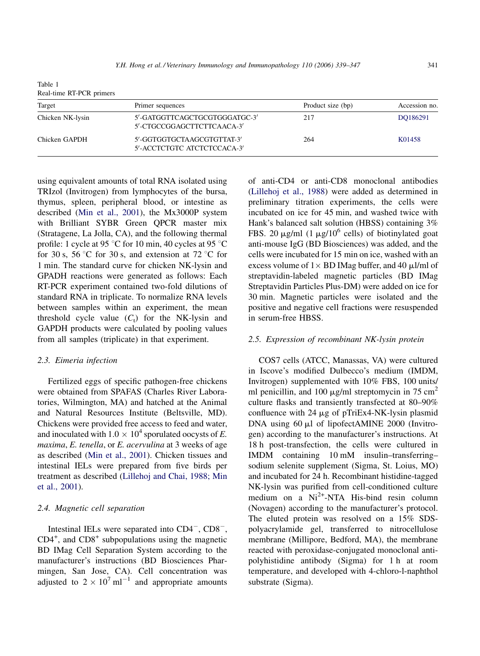<span id="page-2-0"></span>Table 1 Real-time RT-PCR primers

| rtear time its i eit primers |                                                             |                   |               |
|------------------------------|-------------------------------------------------------------|-------------------|---------------|
| Target                       | Primer sequences                                            | Product size (bp) | Accession no. |
| Chicken NK-lysin             | 5'-GATGGTTCAGCTGCGTGGGATGC-3'<br>5'-CTGCCGGAGCTTCTTCAACA-3' | 217               | DO186291      |
| Chicken GAPDH                | 5'-GGTGGTGCTAAGCGTGTTAT-3'<br>5'-ACCTCTGTC ATCTCTCCACA-3'   | 264               | K01458        |

using equivalent amounts of total RNA isolated using TRIzol (Invitrogen) from lymphocytes of the bursa, thymus, spleen, peripheral blood, or intestine as described ([Min et al., 2001\)](#page-8-0), the Mx3000P system with Brilliant SYBR Green QPCR master mix (Stratagene, La Jolla, CA), and the following thermal profile: 1 cycle at 95  $\degree$ C for 10 min, 40 cycles at 95  $\degree$ C for 30 s, 56 °C for 30 s, and extension at 72 °C for 1 min. The standard curve for chicken NK-lysin and GPADH reactions were generated as follows: Each RT-PCR experiment contained two-fold dilutions of standard RNA in triplicate. To normalize RNA levels between samples within an experiment, the mean threshold cycle value  $(C_t)$  for the NK-lysin and GAPDH products were calculated by pooling values from all samples (triplicate) in that experiment.

## 2.3. Eimeria infection

Fertilized eggs of specific pathogen-free chickens were obtained from SPAFAS (Charles River Laboratories, Wilmington, MA) and hatched at the Animal and Natural Resources Institute (Beltsville, MD). Chickens were provided free access to feed and water, and inoculated with  $1.0 \times 10^4$  sporulated oocysts of E. maxima, E. tenella, or E. acervulina at 3 weeks of age as described ([Min et al., 2001\)](#page-8-0). Chicken tissues and intestinal IELs were prepared from five birds per treatment as described [\(Lillehoj and Chai, 1988; Min](#page-8-0) [et al., 2001\)](#page-8-0).

# 2.4. Magnetic cell separation

Intestinal IELs were separated into CD4<sup>-</sup>, CD8<sup>-</sup>, CD4<sup>+</sup> , and CD8<sup>+</sup> subpopulations using the magnetic BD IMag Cell Separation System according to the manufacturer's instructions (BD Biosciences Pharmingen, San Jose, CA). Cell concentration was adjusted to  $2 \times 10^7 \text{ ml}^{-1}$  and appropriate amounts

of anti-CD4 or anti-CD8 monoclonal antibodies ([Lillehoj et al., 1988\)](#page-8-0) were added as determined in preliminary titration experiments, the cells were incubated on ice for 45 min, and washed twice with Hank's balanced salt solution (HBSS) containing 3% FBS. 20  $\mu$ g/ml (1  $\mu$ g/10<sup>6</sup> cells) of biotinylated goat anti-mouse IgG (BD Biosciences) was added, and the cells were incubated for 15 min on ice, washed with an excess volume of  $1 \times BD$  IMag buffer, and 40 µl/ml of streptavidin-labeled magnetic particles (BD IMag Streptavidin Particles Plus-DM) were added on ice for 30 min. Magnetic particles were isolated and the positive and negative cell fractions were resuspended in serum-free HBSS.

## 2.5. Expression of recombinant NK-lysin protein

COS7 cells (ATCC, Manassas, VA) were cultured in Iscove's modified Dulbecco's medium (IMDM, Invitrogen) supplemented with 10% FBS, 100 units/ ml penicillin, and 100  $\mu$ g/ml streptomycin in 75 cm<sup>2</sup> culture flasks and transiently transfected at 80–90% confluence with 24  $\mu$ g of pTriEx4-NK-lysin plasmid DNA using  $60 \mu l$  of lipofectAMINE 2000 (Invitrogen) according to the manufacturer's instructions. At 18 h post-transfection, the cells were cultured in IMDM containing 10 mM insulin–transferring– sodium selenite supplement (Sigma, St. Loius, MO) and incubated for 24 h. Recombinant histidine-tagged NK-lysin was purified from cell-conditioned culture medium on a  $Ni^{2+}$ -NTA His-bind resin column (Novagen) according to the manufacturer's protocol. The eluted protein was resolved on a 15% SDSpolyacrylamide gel, transferred to nitrocellulose membrane (Millipore, Bedford, MA), the membrane reacted with peroxidase-conjugated monoclonal antipolyhistidine antibody (Sigma) for 1 h at room temperature, and developed with 4-chloro-l-naphthol substrate (Sigma).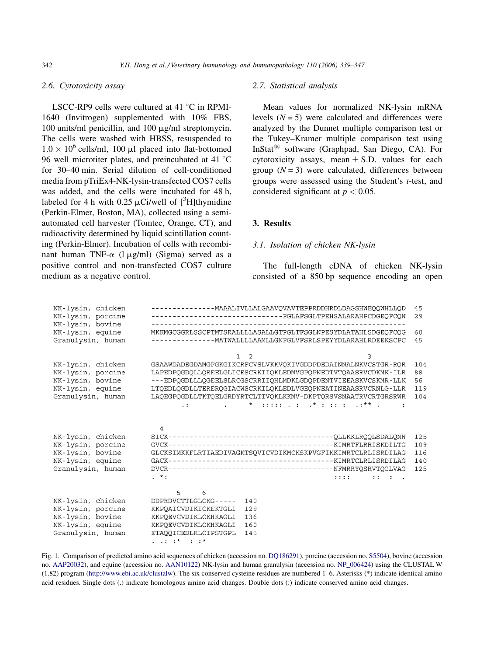## <span id="page-3-0"></span>2.6. Cytotoxicity assay

LSCC-RP9 cells were cultured at  $41^{\circ}$ C in RPMI-1640 (Invitrogen) supplemented with 10% FBS, 100 units/ml penicillin, and 100  $\mu$ g/ml streptomycin. The cells were washed with HBSS, resuspended to  $1.0 \times 10^6$  cells/ml, 100 µl placed into flat-bottomed 96 well microtiter plates, and preincubated at 41 $\degree$ C for 30–40 min. Serial dilution of cell-conditioned media from pTriEx4-NK-lysin-transfected COS7 cells was added, and the cells were incubated for 48 h, labeled for 4 h with 0.25  $\mu$ Ci/well of [<sup>3</sup>H]thymidine (Perkin-Elmer, Boston, MA), collected using a semiautomated cell harvester (Tomtec, Orange, CT), and radioactivity determined by liquid scintillation counting (Perkin-Elmer). Incubation of cells with recombinant human TNF- $\alpha$  (l  $\mu$ g/ml) (Sigma) served as a positive control and non-transfected COS7 culture medium as a negative control.

## 2.7. Statistical analysis

Mean values for normalized NK-lysin mRNA levels  $(N = 5)$  were calculated and differences were analyzed by the Dunnet multiple comparison test or the Tukey–Kramer multiple comparison test using InStat<sup>®</sup> software (Graphpad, San Diego, CA). For cytotoxicity assays, mean  $\pm$  S.D. values for each group  $(N = 3)$  were calculated, differences between groups were assessed using the Student's t-test, and considered significant at  $p < 0.05$ .

## 3. Results

#### 3.1. Isolation of chicken NK-lysin

The full-length cDNA of chicken NK-lysin consisted of a 850 bp sequence encoding an open

| NK-lysin, chicken<br>NK-lysin, porcine                                                              | ------------------------------PGLAFSGLTPEHSALARAHPCDGEQFCQN                                                                                                                                                | 45<br>29                        |
|-----------------------------------------------------------------------------------------------------|------------------------------------------------------------------------------------------------------------------------------------------------------------------------------------------------------------|---------------------------------|
| NK-lysin, bovine<br>NK-lysin, equine<br>Granulysin, human                                           | MKKMGCGGRLSSCPTMTSRALLLLASALLGTPGLTFSGLNPESYDLATAHLSDGEOFCOG                                                                                                                                               | 60<br>45                        |
|                                                                                                     | $\overline{2}$<br>3<br>$\mathbf{1}$                                                                                                                                                                        |                                 |
| NK-lysin, chicken                                                                                   | GSAAWDADEGDAMGPGKGIKCRFCVSLVKKVQKIVGDDPDEDAINNALNKVCSTGR-RQR                                                                                                                                               | 104                             |
| NK-lysin, porcine                                                                                   | LAPEDPOGDOLLOREELGLICESCRKIIOKLEDMVGPOPNEDTVTOAASRVCDKMK-ILR                                                                                                                                               | 88                              |
| NK-lysin, bovine<br>NK-lysin, equine                                                                | ---EDPOGDLLLOGEELSLRCGSCRRIIOHLMDKLGDOPDENTVIEEASKVCSKMR-LLK<br>LTOEDLOGDLLTEREROGIACWSCRKILOKLEDLVGEOPNEATINEAASRVCRNLG-LLR                                                                               | 56<br>119                       |
| Granulysin, human                                                                                   | LAOEGPOGDLLTKTOELGRDYRTCLTIVOKLKKMV-DKPTORSVSNAATRVCRTGRSRWR                                                                                                                                               | 104                             |
|                                                                                                     | * ::::: . : .* : :: : .:** .<br>$\mathbf{r}$ is a set of $\mathbf{r}$ is a set of $\mathbf{r}$                                                                                                             |                                 |
| NK-lysin, chicken<br>NK-lysin, porcine<br>NK-lysin, bovine<br>NK-lysin, equine<br>Granulysin, human | 4<br>GLCKSIMKKFLRTIAEDIVAGKTSQVICVDIKMCKSKPVGFIKKIMRTCLRLISRDILAG<br>$\cdot$ *:<br>$\mathbf{1}$ $\mathbf{1}$ $\mathbf{1}$ $\mathbf{1}$<br>$\mathbf{1}$ $\mathbf{1}$ $\mathbf{1}$ $\mathbf{1}$ $\mathbf{1}$ | 125<br>109<br>116<br>140<br>125 |
|                                                                                                     | 5<br>6                                                                                                                                                                                                     |                                 |
| NK-lysin, chicken                                                                                   | DDPRDVCTTLGLCKG-----<br>140                                                                                                                                                                                |                                 |
| NK-lysin, porcine                                                                                   | 129<br>KKPOAICVDIKICKEKTGLI                                                                                                                                                                                |                                 |
| NK-lysin, bovine                                                                                    | KKPOEVCVDIKLCKHKAGLI<br>136<br>KKPOEVCVDIKLCKHKAGLI<br>160                                                                                                                                                 |                                 |
| NK-lysin, equine<br>Granulysin, human                                                               | ETAQQICEDLRLCIPSTGPL<br>145                                                                                                                                                                                |                                 |
|                                                                                                     | $$ $*$ : $*$                                                                                                                                                                                               |                                 |

Fig. 1. Comparison of predicted amino acid sequences of chicken (accession no. [DQ186291\)](genbank:DQ186291), porcine (accession no. [S5504\)](genbank:S5504), bovine (accession no. [AAP20032](genbank:AAP20032)), and equine (accession no. [AAN10122\)](genbank:AAN10122) NK-lysin and human granulysin (accession no. [NP\\_006424\)](genbank:NP_006424) using the CLUSTAL W (1.82) program ([http://www.ebi.ac.uk/clustalw\)](http://www.ebi.ac.uk/clustalw). The six conserved cysteine residues are numbered 1–6. Asterisks (\*) indicate identical amino acid residues. Single dots (.) indicate homologous amino acid changes. Double dots (:) indicate conserved amino acid changes.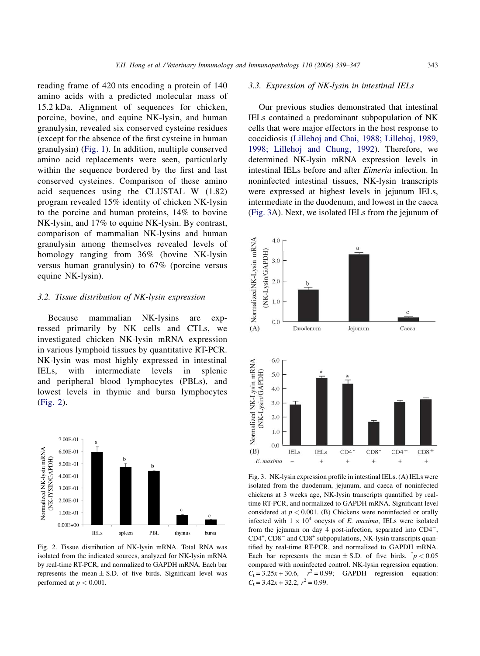<span id="page-4-0"></span>reading frame of 420 nts encoding a protein of 140 amino acids with a predicted molecular mass of 15.2 kDa. Alignment of sequences for chicken, porcine, bovine, and equine NK-lysin, and human granulysin, revealed six conserved cysteine residues (except for the absence of the first cysteine in human granulysin) ([Fig. 1\)](#page-3-0). In addition, multiple conserved amino acid replacements were seen, particularly within the sequence bordered by the first and last conserved cysteines. Comparison of these amino acid sequences using the CLUSTAL W (1.82) program revealed 15% identity of chicken NK-lysin to the porcine and human proteins, 14% to bovine NK-lysin, and 17% to equine NK-lysin. By contrast, comparison of mammalian NK-lysins and human granulysin among themselves revealed levels of homology ranging from 36% (bovine NK-lysin versus human granulysin) to 67% (porcine versus equine NK-lysin).

## 3.2. Tissue distribution of NK-lysin expression

Because mammalian NK-lysins are expressed primarily by NK cells and CTLs, we investigated chicken NK-lysin mRNA expression in various lymphoid tissues by quantitative RT-PCR. NK-lysin was most highly expressed in intestinal IELs, with intermediate levels in splenic and peripheral blood lymphocytes (PBLs), and lowest levels in thymic and bursa lymphocytes (Fig. 2).



Fig. 2. Tissue distribution of NK-lysin mRNA. Total RNA was isolated from the indicated sources, analyzed for NK-lysin mRNA by real-time RT-PCR, and normalized to GAPDH mRNA. Each bar represents the mean  $\pm$  S.D. of five birds. Significant level was performed at  $p < 0.001$ .

## 3.3. Expression of NK-lysin in intestinal IELs

Our previous studies demonstrated that intestinal IELs contained a predominant subpopulation of NK cells that were major effectors in the host response to coccidiosis ([Lillehoj and Chai, 1988; Lillehoj, 1989,](#page-8-0) [1998; Lillehoj and Chung, 1992\)](#page-8-0). Therefore, we determined NK-lysin mRNA expression levels in intestinal IELs before and after Eimeria infection. In noninfected intestinal tissues, NK-lysin transcripts were expressed at highest levels in jejunum IELs, intermediate in the duodenum, and lowest in the caeca (Fig. 3A). Next, we isolated IELs from the jejunum of



Fig. 3. NK-lysin expression profile in intestinal IELs. (A) IELs were isolated from the duodenum, jejunum, and caeca of noninfected chickens at 3 weeks age, NK-lysin transcripts quantified by realtime RT-PCR, and normalized to GAPDH mRNA. Significant level considered at  $p < 0.001$ . (B) Chickens were noninfected or orally infected with  $1 \times 10^4$  oocysts of E. maxima, IELs were isolated from the jejunum on day 4 post-infection, separated into CD4<sup>-</sup>, CD4<sup>+</sup>, CD8<sup>-</sup> and CD8<sup>+</sup> subpopulations, NK-lysin transcripts quantified by real-time RT-PCR, and normalized to GAPDH mRNA. Each bar represents the mean  $\pm$  S.D. of five birds.  $\pi p < 0.05$ compared with noninfected control. NK-lysin regression equation:  $C_t = 3.25x + 30.6$ ,  $r^2 = 0.99$ ; GAPDH regression equation:  $C_t = 3.42x + 32.2, r^2 = 0.99.$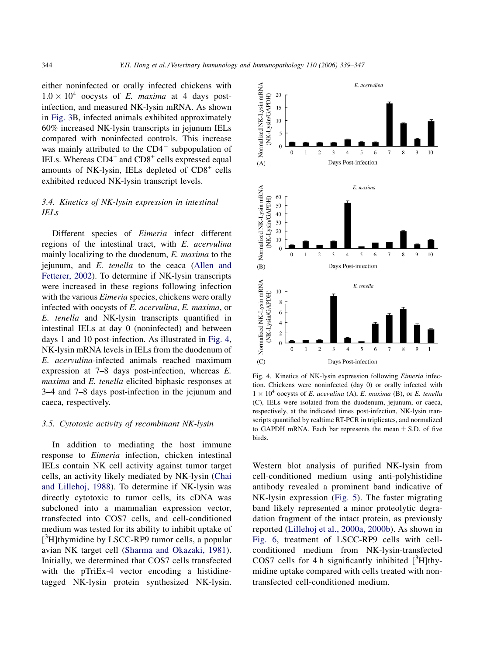either noninfected or orally infected chickens with  $1.0 \times 10^4$  oocysts of *E. maxima* at 4 days postinfection, and measured NK-lysin mRNA. As shown in [Fig. 3](#page-4-0)B, infected animals exhibited approximately 60% increased NK-lysin transcripts in jejunum IELs compared with noninfected controls. This increase was mainly attributed to the CD4<sup>-</sup> subpopulation of IELs. Whereas  $CD4^+$  and  $CD8^+$  cells expressed equal amounts of NK-lysin, IELs depleted of CD8<sup>+</sup> cells exhibited reduced NK-lysin transcript levels.

# 3.4. Kinetics of NK-lysin expression in intestinal IELs

Different species of Eimeria infect different regions of the intestinal tract, with E. acervulina mainly localizing to the duodenum, E. maxima to the jejunum, and E. tenella to the ceaca [\(Allen and](#page-7-0) [Fetterer, 2002](#page-7-0)). To determine if NK-lysin transcripts were increased in these regions following infection with the various *Eimeria* species, chickens were orally infected with oocysts of E. acervulina, E. maxima, or E. tenella and NK-lysin transcripts quantified in intestinal IELs at day 0 (noninfected) and between days 1 and 10 post-infection. As illustrated in Fig. 4, NK-lysin mRNA levels in IELs from the duodenum of E. acervulina-infected animals reached maximum expression at 7–8 days post-infection, whereas E. maxima and E. tenella elicited biphasic responses at 3–4 and 7–8 days post-infection in the jejunum and caeca, respectively.

## 3.5. Cytotoxic activity of recombinant NK-lysin

In addition to mediating the host immune response to Eimeria infection, chicken intestinal IELs contain NK cell activity against tumor target cells, an activity likely mediated by NK-lysin [\(Chai](#page-7-0) [and Lillehoj, 1988\)](#page-7-0). To determine if NK-lysin was directly cytotoxic to tumor cells, its cDNA was subcloned into a mammalian expression vector, transfected into COS7 cells, and cell-conditioned medium was tested for its ability to inhibit uptake of [<sup>3</sup>H]thymidine by LSCC-RP9 tumor cells, a popular avian NK target cell ([Sharma and Okazaki, 1981\)](#page-8-0). Initially, we determined that COS7 cells transfected with the pTriEx-4 vector encoding a histidinetagged NK-lysin protein synthesized NK-lysin.



Fig. 4. Kinetics of NK-lysin expression following Eimeria infection. Chickens were noninfected (day 0) or orally infected with  $1 \times 10^4$  oocysts of E. acevulina (A), E. maxima (B), or E. tenella (C), IELs were isolated from the duodenum, jejunum, or caeca, respectively, at the indicated times post-infection, NK-lysin transcripts quantified by realtime RT-PCR in triplicates, and normalized to GAPDH mRNA. Each bar represents the mean  $\pm$  S.D. of five birds.

Western blot analysis of purified NK-lysin from cell-conditioned medium using anti-polyhistidine antibody revealed a prominent band indicative of NK-lysin expression ([Fig. 5\)](#page-6-0). The faster migrating band likely represented a minor proteolytic degradation fragment of the intact protein, as previously reported ([Lillehoj et al., 2000a, 2000b\)](#page-8-0). As shown in [Fig. 6,](#page-6-0) treatment of LSCC-RP9 cells with cellconditioned medium from NK-lysin-transfected COS7 cells for 4 h significantly inhibited  $[3H]$ thymidine uptake compared with cells treated with nontransfected cell-conditioned medium.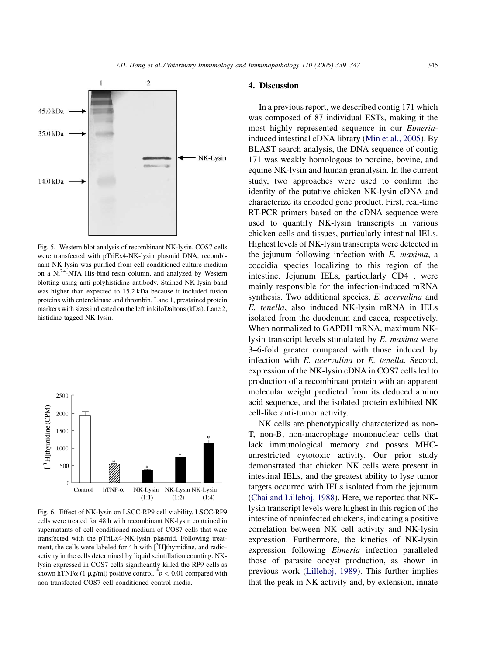<span id="page-6-0"></span>

Fig. 5. Western blot analysis of recombinant NK-lysin. COS7 cells were transfected with pTriEx4-NK-lysin plasmid DNA, recombinant NK-lysin was purified from cell-conditioned culture medium on a  $Ni<sup>2+</sup>-NTA$  His-bind resin column, and analyzed by Western blotting using anti-polyhistidine antibody. Stained NK-lysin band was higher than expected to 15.2 kDa because it included fusion proteins with enterokinase and thrombin. Lane 1, prestained protein markers with sizes indicated on the left in kiloDaltons (kDa). Lane 2, histidine-tagged NK-lysin.



Fig. 6. Effect of NK-lysin on LSCC-RP9 cell viability. LSCC-RP9 cells were treated for 48 h with recombinant NK-lysin contained in supernatants of cell-conditioned medium of COS7 cells that were transfected with the pTriEx4-NK-lysin plasmid. Following treatment, the cells were labeled for  $4 h$  with  $[3H]$ thymidine, and radioactivity in the cells determined by liquid scintillation counting. NKlysin expressed in COS7 cells significantly killed the RP9 cells as shown hTNF $\alpha$  (1  $\mu$ g/ml) positive control.  $\dot{p}$  < 0.01 compared with non-transfected COS7 cell-conditioned control media.

## 4. Discussion

In a previous report, we described contig 171 which was composed of 87 individual ESTs, making it the most highly represented sequence in our Eimeriainduced intestinal cDNA library ([Min et al., 2005](#page-8-0)). By BLAST search analysis, the DNA sequence of contig 171 was weakly homologous to porcine, bovine, and equine NK-lysin and human granulysin. In the current study, two approaches were used to confirm the identity of the putative chicken NK-lysin cDNA and characterize its encoded gene product. First, real-time RT-PCR primers based on the cDNA sequence were used to quantify NK-lysin transcripts in various chicken cells and tissues, particularly intestinal IELs. Highest levels of NK-lysin transcripts were detected in the jejunum following infection with  $E$ . *maxima*, a coccidia species localizing to this region of the intestine. Jejunum IELs, particularly CD4<sup>-</sup>, were mainly responsible for the infection-induced mRNA synthesis. Two additional species, E. acervulina and E. tenella, also induced NK-lysin mRNA in IELs isolated from the duodenum and caeca, respectively. When normalized to GAPDH mRNA, maximum NKlysin transcript levels stimulated by E. maxima were 3–6-fold greater compared with those induced by infection with E. acervulina or E. tenella. Second, expression of the NK-lysin cDNA in COS7 cells led to production of a recombinant protein with an apparent molecular weight predicted from its deduced amino acid sequence, and the isolated protein exhibited NK cell-like anti-tumor activity.

NK cells are phenotypically characterized as non-T, non-B, non-macrophage mononuclear cells that lack immunological memory and posses MHCunrestricted cytotoxic activity. Our prior study demonstrated that chicken NK cells were present in intestinal IELs, and the greatest ability to lyse tumor targets occurred with IELs isolated from the jejunum ([Chai and Lillehoj, 1988\)](#page-7-0). Here, we reported that NKlysin transcript levels were highest in this region of the intestine of noninfected chickens, indicating a positive correlation between NK cell activity and NK-lysin expression. Furthermore, the kinetics of NK-lysin expression following Eimeria infection paralleled those of parasite oocyst production, as shown in previous work [\(Lillehoj, 1989](#page-8-0)). This further implies that the peak in NK activity and, by extension, innate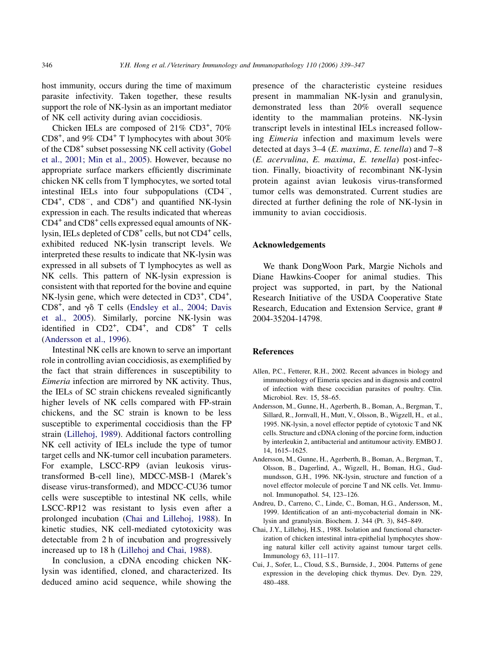<span id="page-7-0"></span>host immunity, occurs during the time of maximum parasite infectivity. Taken together, these results support the role of NK-lysin as an important mediator of NK cell activity during avian coccidiosis.

Chicken IELs are composed of 21% CD3<sup>+</sup>, 70% CD8<sup>+</sup> , and 9% CD4<sup>+</sup> T lymphocytes with about 30% of the CD8<sup>+</sup> subset possessing NK cell activity [\(Gobel](#page-8-0) [et al., 2001; Min et al., 2005\)](#page-8-0). However, because no appropriate surface markers efficiently discriminate chicken NK cells from T lymphocytes, we sorted total intestinal IELs into four subpopulations (CD4<sup>-</sup>, CD4<sup>+</sup>, CD8<sup>-</sup>, and CD8<sup>+</sup>) and quantified NK-lysin expression in each. The results indicated that whereas CD4<sup>+</sup> and CD8<sup>+</sup> cells expressed equal amounts of NKlysin, IELs depleted of CD8<sup>+</sup> cells, but not CD4<sup>+</sup> cells, exhibited reduced NK-lysin transcript levels. We interpreted these results to indicate that NK-lysin was expressed in all subsets of T lymphocytes as well as NK cells. This pattern of NK-lysin expression is consistent with that reported for the bovine and equine NK-lysin gene, which were detected in CD3<sup>+</sup>, CD4<sup>+</sup>, CD8<sup>+</sup>, and  $\gamma \delta$  T cells ([Endsley et al., 2004; Davis](#page-8-0) [et al., 2005\)](#page-8-0). Similarly, porcine NK-lysin was identified in  $CD2^+$ ,  $CD4^+$ , and  $CD8^+$  T cells (Andersson et al., 1996).

Intestinal NK cells are known to serve an important role in controlling avian coccidiosis, as exemplified by the fact that strain differences in susceptibility to Eimeria infection are mirrored by NK activity. Thus, the IELs of SC strain chickens revealed significantly higher levels of NK cells compared with FP-strain chickens, and the SC strain is known to be less susceptible to experimental coccidiosis than the FP strain [\(Lillehoj, 1989](#page-8-0)). Additional factors controlling NK cell activity of IELs include the type of tumor target cells and NK-tumor cell incubation parameters. For example, LSCC-RP9 (avian leukosis virustransformed B-cell line), MDCC-MSB-1 (Marek's disease virus-transformed), and MDCC-CU36 tumor cells were susceptible to intestinal NK cells, while LSCC-RP12 was resistant to lysis even after a prolonged incubation (Chai and Lillehoj, 1988). In kinetic studies, NK cell-mediated cytotoxicity was detectable from 2 h of incubation and progressively increased up to 18 h [\(Lillehoj and Chai, 1988\)](#page-8-0).

In conclusion, a cDNA encoding chicken NKlysin was identified, cloned, and characterized. Its deduced amino acid sequence, while showing the presence of the characteristic cysteine residues present in mammalian NK-lysin and granulysin, demonstrated less than 20% overall sequence identity to the mammalian proteins. NK-lysin transcript levels in intestinal IELs increased following Eimeria infection and maximum levels were detected at days  $3-4$  (*E. maxima, E. tenella*) and  $7-8$ (E. acervulina, E. maxima, E. tenella) post-infection. Finally, bioactivity of recombinant NK-lysin protein against avian leukosis virus-transformed tumor cells was demonstrated. Current studies are directed at further defining the role of NK-lysin in immunity to avian coccidiosis.

# Acknowledgements

We thank DongWoon Park, Margie Nichols and Diane Hawkins-Cooper for animal studies. This project was supported, in part, by the National Research Initiative of the USDA Cooperative State Research, Education and Extension Service, grant # 2004-35204-14798.

## References

- Allen, P.C., Fetterer, R.H., 2002. Recent advances in biology and immunobiology of Eimeria species and in diagnosis and control of infection with these coccidian parasites of poultry. Clin. Microbiol. Rev. 15, 58–65.
- Andersson, M., Gunne, H., Agerberth, B., Boman, A., Bergman, T., Sillard, R., Jornvall, H., Mutt, V., Olsson, B., Wigzell, H., et al., 1995. NK-lysin, a novel effector peptide of cytotoxic T and NK cells. Structure and cDNA cloning of the porcine form, induction by interleukin 2, antibacterial and antitumour activity. EMBO J. 14, 1615–1625.
- Andersson, M., Gunne, H., Agerberth, B., Boman, A., Bergman, T., Olsson, B., Dagerlind, A., Wigzell, H., Boman, H.G., Gudmundsson, G.H., 1996. NK-lysin, structure and function of a novel effector molecule of porcine T and NK cells. Vet. Immunol. Immunopathol. 54, 123–126.
- Andreu, D., Carreno, C., Linde, C., Boman, H.G., Andersson, M., 1999. Identification of an anti-mycobacterial domain in NKlysin and granulysin. Biochem. J. 344 (Pt. 3), 845–849.
- Chai, J.Y., Lillehoj, H.S., 1988. Isolation and functional characterization of chicken intestinal intra-epithelial lymphocytes showing natural killer cell activity against tumour target cells. Immunology 63, 111–117.
- Cui, J., Sofer, L., Cloud, S.S., Burnside, J., 2004. Patterns of gene expression in the developing chick thymus. Dev. Dyn. 229, 480–488.